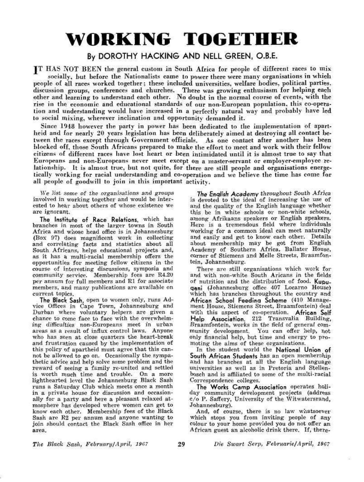# **WORKING TOGETHER**

# By DOROTHY HACKING AND NELL GREEN, O.B.E.

[T HAS NOT BEEN the general custom in South Africa for people of different races to mix socially, hut before the Nationalists came to power there were many organisations in which people of all races worked together; these included universities, welfare bodies, political parties, discussion groups, conferences and churches. There was growing enthusiasm for helping each other and learning to understand each other. No doubt in the normal course of events, with the rise in the economic and educational standards of our non-European population, this co-operation and understanding would have increased in a perfectly natural way and probably have led to social mixing, wherever inclination and opportunity demanded it.

Since 1948 however the party in power has been dedicated to the implementation of apartheid and for nearly 20 years legislation has been deliberately aimed at destroying all contact between the races except through Government officials. As one contact after another has been blocked off, those South Africans prepared to make the effort to meet and work with their fellow citizens of different races have lost heart or been intimidated until it is almost true to say that Europeans and non-Europeans never meet except on a master-servant or employer-employee relationship. It is almost true, but not quite, for there are still people and organisations energetically working for racial understanding and co-operation and we believe the time has come for all people of goodwill to join in this important activity.

We list some of the organisations and groups involved in working together and would be interested to hear about others of whose existence we are ignorant.

The Institute of Race Relations, which has branches in most of the larger towns in South Africa and whose head office is in Johannesburg (Box 97) does magnificent work in collecting and correlating facts and statistics about all South Africans, helps educational projects and, as it has a multi-racial membership offers the opportunities for meeting fellow citizens in the course of interesting discussions, symposia and community service. Membership fees are R4.20 per annum for full members and Rl for associate members, and many publications are available on current topics.

The Black Sash, open to women only, runs Advice Offices in Cape Town, Johannesburg and Durban where voluntary helpers are given a chance to come face to face with the overwhelming difficulties non-Europeans meet in urban areas as a result of influx control laws. Anyone who has seen at close quarters the heart-break and frustration caused by the implementation of this policy of apartheid must agree that this cannot be allowed to go on. Occasionally the sympathetic advice and help solve some problem and the recut auvice and neip solve some problem and the reward of seeing a family re-united and settled. is worth much time and trouble. On a more lighthearted level the Johannesburg Black Sash runs a Saturday Club which meets once a month in a private house for discussion and occasionally for a party and here a pleasant relaxed atmosphere has developed where women can get to know each other. Membership fees of the Black Sash are R2 per annum and anyone wanting to join should contact the Black Sash office in her area.

The Enqlish Academy throughout South Africa is devoted to the ideal of increasing the use of and the quality of the English language whether this be in white schools or non-white schools, among Afrikaans speakers or English speakers. Here is a tremendous field where individuals working for a common ideal can meet naturally and easily and get to know each other. Details about membership may be got from English Academy of Southern Africa, Ballater House, Academy of Southern Africa, Banater House,<br>corner of Stiemens and Melle Streets, Braamfontein, Johannesburg.<br>tein, Johannesburg.

There are still organisations which work for and with non-white South Aricans in the fields of nutrition and the distribution of food. Kupuqoni (Johannesburg office 407 Locarno House) which has branches throughout the country and African School Feeding Scheme (410 Management House, Stiemens Street, Braamfontein) deal with this aspect of co-operation. African Self Help Association, 212 Transvalia Building, Braamfontein, works in the field of general community development. You can offer help, not only financial help, but time and energy to promoting the aims of these organisations.

In the student world the National Union of South African Students has an open membership and has branches at all the English language universities as well as in Pretoria and Stellenbosch and is affiliated to some of the multi-racial Correspondence colleges.

The Works Camp Association operates holiday community development projects (address c/o P. Saffery, University of the Witwatersrand, Johannesburg).

And, of course, there is no law whatsoever which stops you from inviting people of any colour to your home provided you do not offer an African guest an alcoholic drink there. If, there-

*The Black Sa&ht February/April 190?* 29 *Die Swart Serp, Februarie/April, 19G?* 

52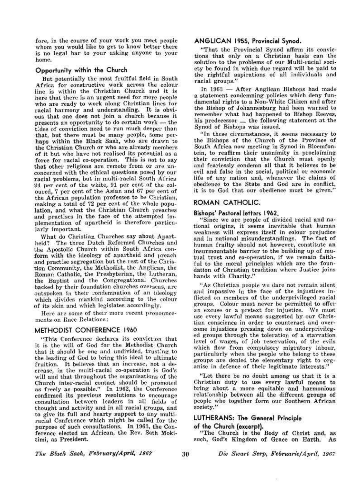fore, in the course of your work you meet people whom you would like to get to know better there is no legal bar to your asking anyone to your home.

# Opportunity within the Church

But potentially the most fruitful field in South Africa for constructive work across the colour line is within the Christian Church and it is here that there is an urgent need for more people who are ready to work along Christian lines for racial harmony and understanding. It is obvious that one does not join a church because it presents an opportunity to do certain work — the presents an opportunity to the certain work == the tides of conviction need to run much deeper than that, but there must be many people, some perhaps within the Black Sash, who are drawn to the Christian Church or who are already members of it but who have not realised its potential as a force for racial co-operation. This is not to say that other religions are remote from or are unconcerned with the ethical questions posed by our racial problems, but in multi-racial South Africa  $94$  per cent of the white,  $91$  per cent of the coloured, 7 per cent of the Asian and 67 per cent of the African population professes to be Christian. making a total of 72 per cent of the whole population, and what the Christian Church preaches and practises in the face of the attempted implementation of apartheid is therefore particularly important.

What do Christian Churches say about Apartheid? The three Dutch Reformed Churches and the Apostolic Church within South Africa conform with the ideology of apartheid and preach and practise segregation but the rest of the Christion Community, the Methodist, the Anglican, the Roman Catholic, the Presbyterian, the Lutheran, the Baptist and the Congregational Churches the baptist and the congregations churches packed by their foundation churches overseas, are outspoken in their condemnation of an ideology which divides mankind according to the colour of its skin and which legislates accordingly,

Here are some of their more recent pronouncements on Race Relations:

# METHODIST CONFERENCE I960

"This Conference declares its conviction that it is the will of God for the Methodist Church that it should be one and undivided, trusting to the leading of God to bring this ideal to ultimate fruition. It believes that an increase, not a decrease, in the multi-racial co-operation is God's will and that throughout the organisations of the will ally that throughout the organizations of the Church inter-racial contact should be promoted. as freely as possible." In 1962, the Conference confirmed its previous resolutions to encourage consultation between leaders in all fields of thought and activity and in all racial groups, and to give its full and hearty support to any multiracial Conference which might be called for the purpose of such consultations. In 1963, the Conference elected an African, the Rev. Seth Mokitimi, as President.

## ANGLICAN 1955, Provincial Synod.

"That the Provincial Synod affirm its convictions that only on a Christian basis can the solution to the problems of our Multi-racial society be found in which due regard will be paid to the rightful aspirations of all individuals and racial groups."

In 1963 — After Anglican Bishops had made a statement condemning policies w f hich deny fundamental rights to a Non-White Citizen and after the Bishop of Johannesburg had been warned to remember what had happened to Bishop Reeves, his predecessor ....- the following statement at the Synod of Bishops was issued,

"In these circumstances, it seems necessary to the Bishops of the Church of the Province of South Africa now meeting in Synod in Bloemfontein, to reaffirm their unanimity in proclaiming their conviction that the Church must openly and fearlessly condemn all that it believes to be evil and false in the social, political or economic life of any nation and, whenever the claims of ine of any nation and, whenever the claims of obedience to the state and God are in connect,

## ROMAN CATHOLIC.

### Bishops' Pastoral lettars 1962.

"Since we are people of divided racial and national origins, it seems inevitable that human weakness will express itself in colour prejudice and in national misunderstandings. The fact of human frailty should not however, constitute an insurmountable barrier to the building up of mutual trust and co-operation, if we remain faithful to the moral principles which are the foundation of Christian tradition where Justice joins dation of Christian tradition where Justice joins hands with Charity."

"As Christian people we dare not remain silent and impassive in the face of the injustices inflicted on members of the underprivileged racial groups. Colour must never be permitted to offer an excuse or a pretext for injustice. We must use every lawful means suggested by our Christian conscience in order to counteract and overcome injustices pressing down on underprivileged groups through the toleration of a starvation ed groups unrough the toleration of a starvation. level of wages, of job reservation, of the evils which flow from compulsory migratory labour, particularly when the people who belong to these groups are denied the elementary right to organise in defence of their legitimate interests."

"Let there be no doubt among us that it is a Christian duty to use every lawful means to bring about a more equitable and harmonious relationship between all the different groups of people who together form our Southern African society."

# LUTHERANS: The General Principle

#### of the Church (excerpt).

"The Church is the Body of Christ and, as such, God's Kingdom of Grace on Earth. As

*The Blatk Sash, February/April, 196?* 

3 0 *Die Swart Serp, Februarief April, 1907*